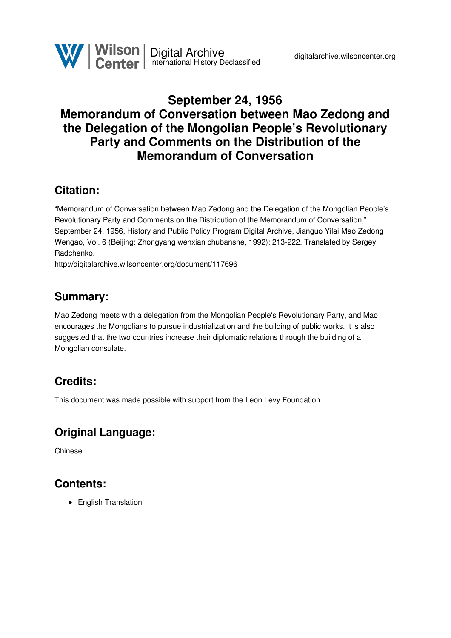

# **September 24, 1956 Memorandum of Conversation between Mao Zedong and the Delegation of the Mongolian People's Revolutionary Party and Comments on the Distribution of the Memorandum of Conversation**

## **Citation:**

"Memorandum of Conversation between Mao Zedong and the Delegation of the Mongolian People's Revolutionary Party and Comments on the Distribution of the Memorandum of Conversation," September 24, 1956, History and Public Policy Program Digital Archive, Jianguo Yilai Mao Zedong Wengao, Vol. 6 (Beijing: Zhongyang wenxian chubanshe, 1992): 213-222. Translated by Sergey Radchenko.

<http://digitalarchive.wilsoncenter.org/document/117696>

### **Summary:**

Mao Zedong meets with a delegation from the Mongolian People's Revolutionary Party, and Mao encourages the Mongolians to pursue industrialization and the building of public works. It is also suggested that the two countries increase their diplomatic relations through the building of a Mongolian consulate.

## **Credits:**

This document was made possible with support from the Leon Levy Foundation.

## **Original Language:**

Chinese

### **Contents:**

• English Translation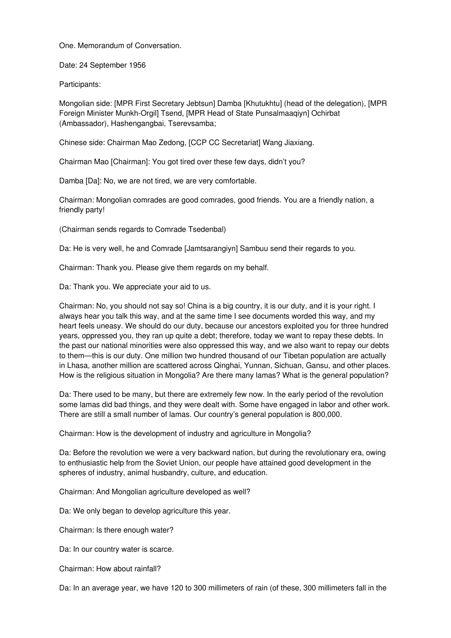One. Memorandum of Conversation.

Date: 24 September 1956

Participants:

Mongolian side: [MPR First Secretary Jebtsun] Damba [Khutukhtu] (head of the delegation), [MPR Foreign Minister Munkh-Orgil] Tsend, [MPR Head of State Punsalmaaqiyn] Ochirbat (Ambassador), Hashengangbai, Tserevsamba;

Chinese side: Chairman Mao Zedong, [CCP CC Secretariat] Wang Jiaxiang.

Chairman Mao [Chairman]: You got tired over these few days, didn't you?

Damba [Da]: No, we are not tired, we are very comfortable.

Chairman: Mongolian comrades are good comrades, good friends. You are a friendly nation, a friendly party!

(Chairman sends regards to Comrade Tsedenbal)

Da: He is very well, he and Comrade [Jamtsarangiyn] Sambuu send their regards to you.

Chairman: Thank you. Please give them regards on my behalf.

Da: Thank you. We appreciate your aid to us.

Chairman: No, you should not say so! China is a big country, it is our duty, and it is your right. I always hear you talk this way, and at the same time I see documents worded this way, and my heart feels uneasy. We should do our duty, because our ancestors exploited you for three hundred years, oppressed you, they ran up quite a debt; therefore, today we want to repay these debts. In the past our national minorities were also oppressed this way, and we also want to repay our debts to them—this is our duty. One million two hundred thousand of our Tibetan population are actually in Lhasa, another million are scattered across Qinghai, Yunnan, Sichuan, Gansu, and other places. How is the religious situation in Mongolia? Are there many lamas? What is the general population?

Da: There used to be many, but there are extremely few now. In the early period of the revolution some lamas did bad things, and they were dealt with. Some have engaged in labor and other work. There are still a small number of lamas. Our country's general population is 800,000.

Chairman: How is the development of industry and agriculture in Mongolia?

Da: Before the revolution we were a very backward nation, but during the revolutionary era, owing to enthusiastic help from the Soviet Union, our people have attained good development in the spheres of industry, animal husbandry, culture, and education.

Chairman: And Mongolian agriculture developed as well?

Da: We only began to develop agriculture this year.

Chairman: Is there enough water?

Da: In our country water is scarce.

Chairman: How about rainfall?

Da: In an average year, we have 120 to 300 millimeters of rain (of these, 300 millimeters fall in the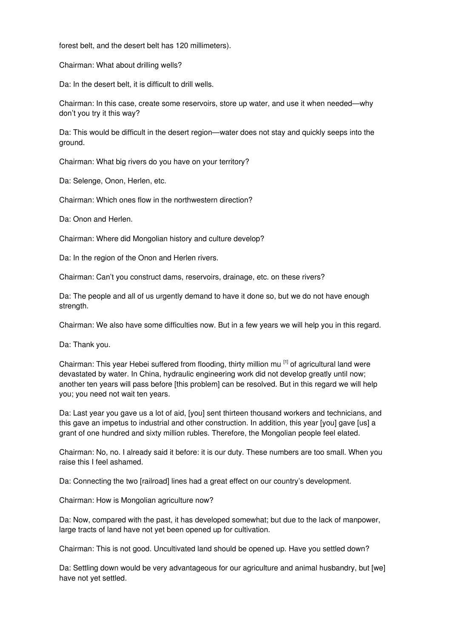forest belt, and the desert belt has 120 millimeters).

Chairman: What about drilling wells?

Da: In the desert belt, it is difficult to drill wells.

Chairman: In this case, create some reservoirs, store up water, and use it when needed—why don't you try it this way?

Da: This would be difficult in the desert region—water does not stay and quickly seeps into the ground.

Chairman: What big rivers do you have on your territory?

Da: Selenge, Onon, Herlen, etc.

Chairman: Which ones flow in the northwestern direction?

Da: Onon and Herlen.

Chairman: Where did Mongolian history and culture develop?

Da: In the region of the Onon and Herlen rivers.

Chairman: Can't you construct dams, reservoirs, drainage, etc. on these rivers?

Da: The people and all of us urgently demand to have it done so, but we do not have enough strength.

Chairman: We also have some difficulties now. But in a few years we will help you in this regard.

Da: Thank you.

Chairman: This year Hebei suffered from flooding, thirty million mu<sup>[1]</sup> of agricultural land were devastated by water. In China, hydraulic engineering work did not develop greatly until now; another ten years will pass before [this problem] can be resolved. But in this regard we will help you; you need not wait ten years.

Da: Last year you gave us a lot of aid, [you] sent thirteen thousand workers and technicians, and this gave an impetus to industrial and other construction. In addition, this year [you] gave [us] a grant of one hundred and sixty million rubles. Therefore, the Mongolian people feel elated.

Chairman: No, no. I already said it before: it is our duty. These numbers are too small. When you raise this I feel ashamed.

Da: Connecting the two [railroad] lines had a great effect on our country's development.

Chairman: How is Mongolian agriculture now?

Da: Now, compared with the past, it has developed somewhat; but due to the lack of manpower, large tracts of land have not yet been opened up for cultivation.

Chairman: This is not good. Uncultivated land should be opened up. Have you settled down?

Da: Settling down would be very advantageous for our agriculture and animal husbandry, but [we] have not yet settled.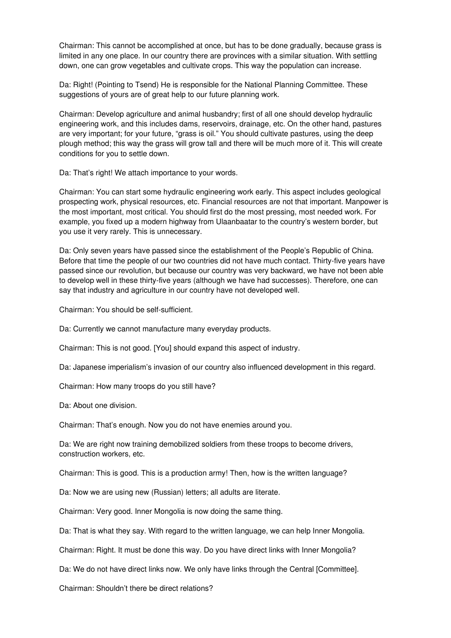Chairman: This cannot be accomplished at once, but has to be done gradually, because grass is limited in any one place. In our country there are provinces with a similar situation. With settling down, one can grow vegetables and cultivate crops. This way the population can increase.

Da: Right! (Pointing to Tsend) He is responsible for the National Planning Committee. These suggestions of yours are of great help to our future planning work.

Chairman: Develop agriculture and animal husbandry; first of all one should develop hydraulic engineering work, and this includes dams, reservoirs, drainage, etc. On the other hand, pastures are very important; for your future, "grass is oil." You should cultivate pastures, using the deep plough method; this way the grass will grow tall and there will be much more of it. This will create conditions for you to settle down.

Da: That's right! We attach importance to your words.

Chairman: You can start some hydraulic engineering work early. This aspect includes geological prospecting work, physical resources, etc. Financial resources are not that important. Manpower is the most important, most critical. You should first do the most pressing, most needed work. For example, you fixed up a modern highway from Ulaanbaatar to the country's western border, but you use it very rarely. This is unnecessary.

Da: Only seven years have passed since the establishment of the People's Republic of China. Before that time the people of our two countries did not have much contact. Thirty-five years have passed since our revolution, but because our country was very backward, we have not been able to develop well in these thirty-five years (although we have had successes). Therefore, one can say that industry and agriculture in our country have not developed well.

Chairman: You should be self-sufficient.

Da: Currently we cannot manufacture many everyday products.

Chairman: This is not good. [You] should expand this aspect of industry.

Da: Japanese imperialism's invasion of our country also influenced development in this regard.

Chairman: How many troops do you still have?

Da: About one division.

Chairman: That's enough. Now you do not have enemies around you.

Da: We are right now training demobilized soldiers from these troops to become drivers, construction workers, etc.

Chairman: This is good. This is a production army! Then, how is the written language?

Da: Now we are using new (Russian) letters; all adults are literate.

Chairman: Very good. Inner Mongolia is now doing the same thing.

Da: That is what they say. With regard to the written language, we can help Inner Mongolia.

Chairman: Right. It must be done this way. Do you have direct links with Inner Mongolia?

Da: We do not have direct links now. We only have links through the Central [Committee].

Chairman: Shouldn't there be direct relations?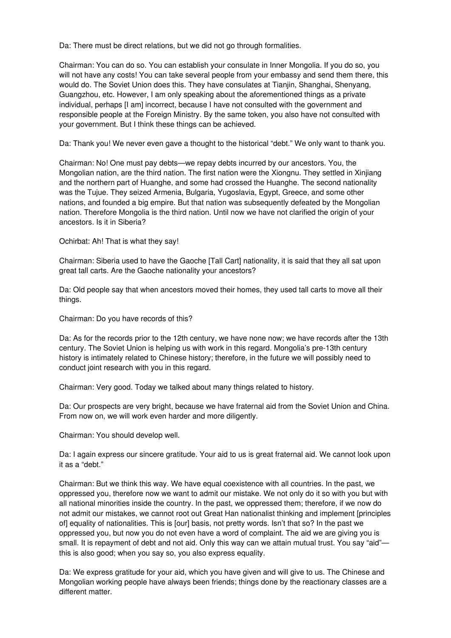Da: There must be direct relations, but we did not go through formalities.

Chairman: You can do so. You can establish your consulate in Inner Mongolia. If you do so, you will not have any costs! You can take several people from your embassy and send them there, this would do. The Soviet Union does this. They have consulates at Tianjin, Shanghai, Shenyang, Guangzhou, etc. However, I am only speaking about the aforementioned things as a private individual, perhaps [I am] incorrect, because I have not consulted with the government and responsible people at the Foreign Ministry. By the same token, you also have not consulted with your government. But I think these things can be achieved.

Da: Thank you! We never even gave a thought to the historical "debt." We only want to thank you.

Chairman: No! One must pay debts—we repay debts incurred by our ancestors. You, the Mongolian nation, are the third nation. The first nation were the Xiongnu. They settled in Xinjiang and the northern part of Huanghe, and some had crossed the Huanghe. The second nationality was the Tujue. They seized Armenia, Bulgaria, Yugoslavia, Egypt, Greece, and some other nations, and founded a big empire. But that nation was subsequently defeated by the Mongolian nation. Therefore Mongolia is the third nation. Until now we have not clarified the origin of your ancestors. Is it in Siberia?

Ochirbat: Ah! That is what they say!

Chairman: Siberia used to have the Gaoche [Tall Cart] nationality, it is said that they all sat upon great tall carts. Are the Gaoche nationality your ancestors?

Da: Old people say that when ancestors moved their homes, they used tall carts to move all their things.

Chairman: Do you have records of this?

Da: As for the records prior to the 12th century, we have none now; we have records after the 13th century. The Soviet Union is helping us with work in this regard. Mongolia's pre-13th century history is intimately related to Chinese history; therefore, in the future we will possibly need to conduct joint research with you in this regard.

Chairman: Very good. Today we talked about many things related to history.

Da: Our prospects are very bright, because we have fraternal aid from the Soviet Union and China. From now on, we will work even harder and more diligently.

Chairman: You should develop well.

Da: I again express our sincere gratitude. Your aid to us is great fraternal aid. We cannot look upon it as a "debt."

Chairman: But we think this way. We have equal coexistence with all countries. In the past, we oppressed you, therefore now we want to admit our mistake. We not only do it so with you but with all national minorities inside the country. In the past, we oppressed them; therefore, if we now do not admit our mistakes, we cannot root out Great Han nationalist thinking and implement [principles of] equality of nationalities. This is [our] basis, not pretty words. Isn't that so? In the past we oppressed you, but now you do not even have a word of complaint. The aid we are giving you is small. It is repayment of debt and not aid. Only this way can we attain mutual trust. You say "aid" this is also good; when you say so, you also express equality.

Da: We express gratitude for your aid, which you have given and will give to us. The Chinese and Mongolian working people have always been friends; things done by the reactionary classes are a different matter.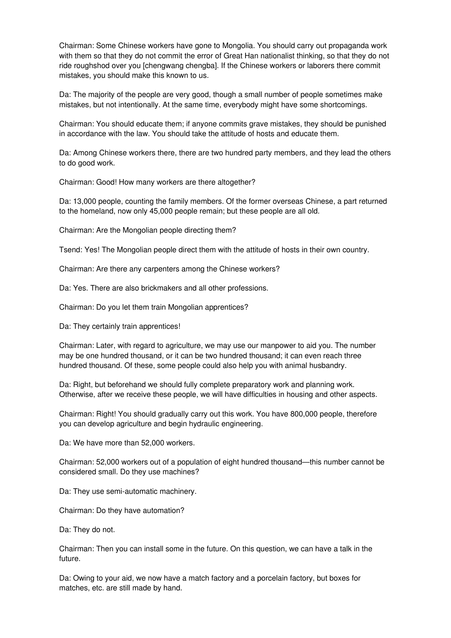Chairman: Some Chinese workers have gone to Mongolia. You should carry out propaganda work with them so that they do not commit the error of Great Han nationalist thinking, so that they do not ride roughshod over you [chengwang chengba]. If the Chinese workers or laborers there commit mistakes, you should make this known to us.

Da: The majority of the people are very good, though a small number of people sometimes make mistakes, but not intentionally. At the same time, everybody might have some shortcomings.

Chairman: You should educate them; if anyone commits grave mistakes, they should be punished in accordance with the law. You should take the attitude of hosts and educate them.

Da: Among Chinese workers there, there are two hundred party members, and they lead the others to do good work.

Chairman: Good! How many workers are there altogether?

Da: 13,000 people, counting the family members. Of the former overseas Chinese, a part returned to the homeland, now only 45,000 people remain; but these people are all old.

Chairman: Are the Mongolian people directing them?

Tsend: Yes! The Mongolian people direct them with the attitude of hosts in their own country.

Chairman: Are there any carpenters among the Chinese workers?

Da: Yes. There are also brickmakers and all other professions.

Chairman: Do you let them train Mongolian apprentices?

Da: They certainly train apprentices!

Chairman: Later, with regard to agriculture, we may use our manpower to aid you. The number may be one hundred thousand, or it can be two hundred thousand; it can even reach three hundred thousand. Of these, some people could also help you with animal husbandry.

Da: Right, but beforehand we should fully complete preparatory work and planning work. Otherwise, after we receive these people, we will have difficulties in housing and other aspects.

Chairman: Right! You should gradually carry out this work. You have 800,000 people, therefore you can develop agriculture and begin hydraulic engineering.

Da: We have more than 52,000 workers.

Chairman: 52,000 workers out of a population of eight hundred thousand—this number cannot be considered small. Do they use machines?

Da: They use semi-automatic machinery.

Chairman: Do they have automation?

Da: They do not.

Chairman: Then you can install some in the future. On this question, we can have a talk in the future.

Da: Owing to your aid, we now have a match factory and a porcelain factory, but boxes for matches, etc. are still made by hand.